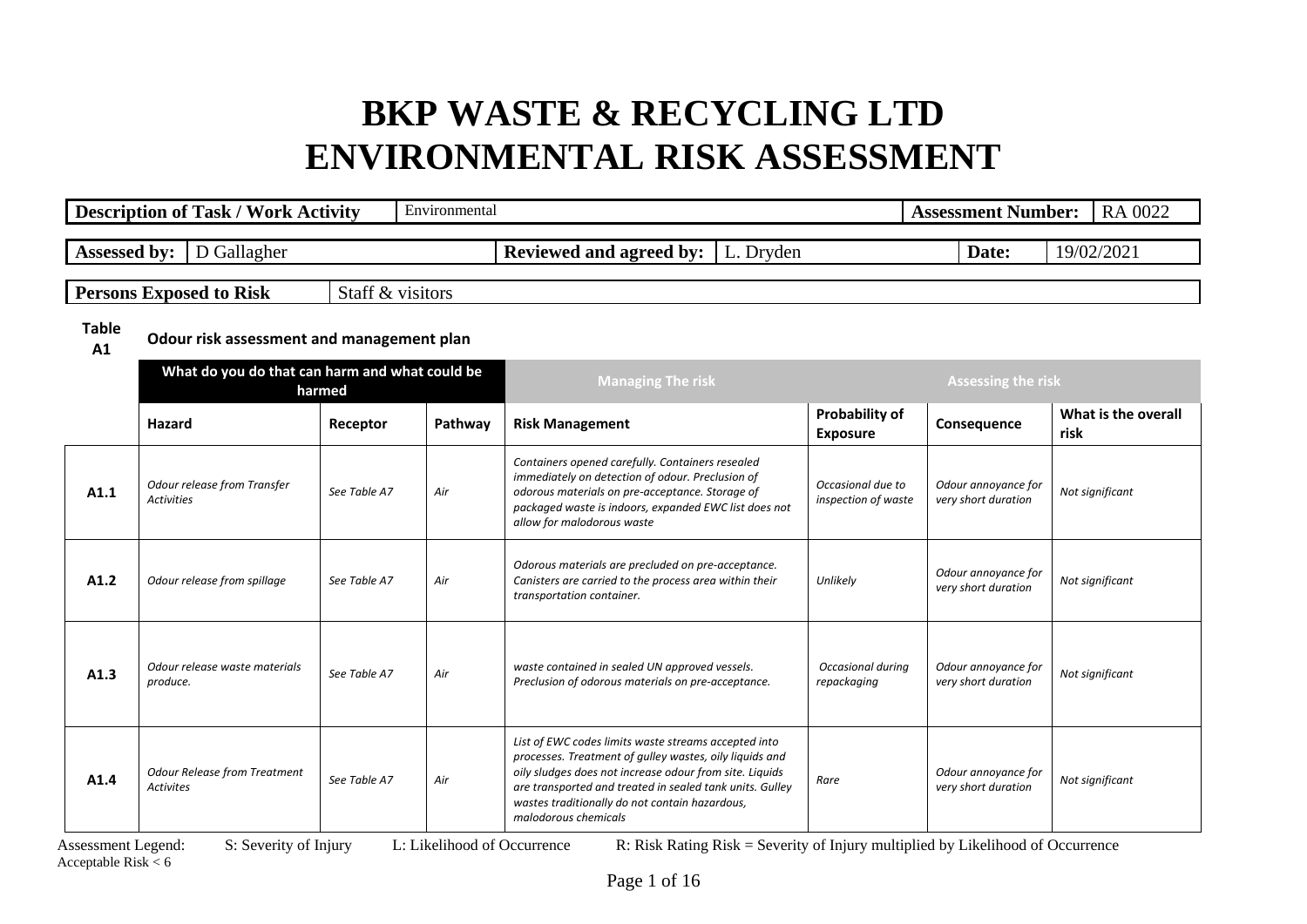|                    | <b>Description of Task / Work Activity</b>               |                  | Environmental |                                                                                                                                                                                                                                                                                                                  |                                          | <b>Assessment Number:</b>                  | RA 0022                     |  |
|--------------------|----------------------------------------------------------|------------------|---------------|------------------------------------------------------------------------------------------------------------------------------------------------------------------------------------------------------------------------------------------------------------------------------------------------------------------|------------------------------------------|--------------------------------------------|-----------------------------|--|
|                    |                                                          |                  |               |                                                                                                                                                                                                                                                                                                                  |                                          |                                            |                             |  |
| Assessed by:       | D Gallagher                                              |                  |               | Reviewed and agreed by:<br>L. Dryden                                                                                                                                                                                                                                                                             |                                          | Date:                                      | 19/02/2021                  |  |
|                    | <b>Persons Exposed to Risk</b>                           | Staff & visitors |               |                                                                                                                                                                                                                                                                                                                  |                                          |                                            |                             |  |
| <b>Table</b><br>A1 | Odour risk assessment and management plan                |                  |               |                                                                                                                                                                                                                                                                                                                  |                                          |                                            |                             |  |
|                    | What do you do that can harm and what could be<br>harmed |                  |               | <b>Managing The risk</b>                                                                                                                                                                                                                                                                                         |                                          | <b>Assessing the risk</b>                  |                             |  |
|                    | Hazard                                                   | Receptor         | Pathway       | <b>Risk Management</b>                                                                                                                                                                                                                                                                                           | <b>Probability of</b><br><b>Exposure</b> | Consequence                                | What is the overall<br>risk |  |
| A1.1               | Odour release from Transfer<br><b>Activities</b>         | See Table A7     | Air           | Containers opened carefully. Containers resealed<br>immediately on detection of odour. Preclusion of<br>odorous materials on pre-acceptance. Storage of<br>packaged waste is indoors, expanded EWC list does not<br>allow for malodorous waste                                                                   | Occasional due to<br>inspection of waste | Odour annoyance for<br>very short duration | Not significant             |  |
| A1.2               | Odour release from spillage                              | See Table A7     | Air           | Odorous materials are precluded on pre-acceptance.<br>Canisters are carried to the process area within their<br>transportation container.                                                                                                                                                                        | Unlikely                                 | Odour annoyance for<br>very short duration | Not significant             |  |
| A1.3               | Odour release waste materials<br>produce.                | See Table A7     | Air           | waste contained in sealed UN approved vessels.<br>Preclusion of odorous materials on pre-acceptance.                                                                                                                                                                                                             | Occasional during<br>repackaging         | Odour annoyance for<br>very short duration | Not significant             |  |
| A1.4               | <b>Odour Release from Treatment</b><br><b>Activites</b>  | See Table A7     | Air           | List of EWC codes limits waste streams accepted into<br>processes. Treatment of gulley wastes, oily liquids and<br>oily sludges does not increase odour from site. Liquids<br>are transported and treated in sealed tank units. Gulley<br>wastes traditionally do not contain hazardous,<br>malodorous chemicals | Rare                                     | Odour annoyance for<br>very short duration | Not significant             |  |

Acceptable Risk  $< 6$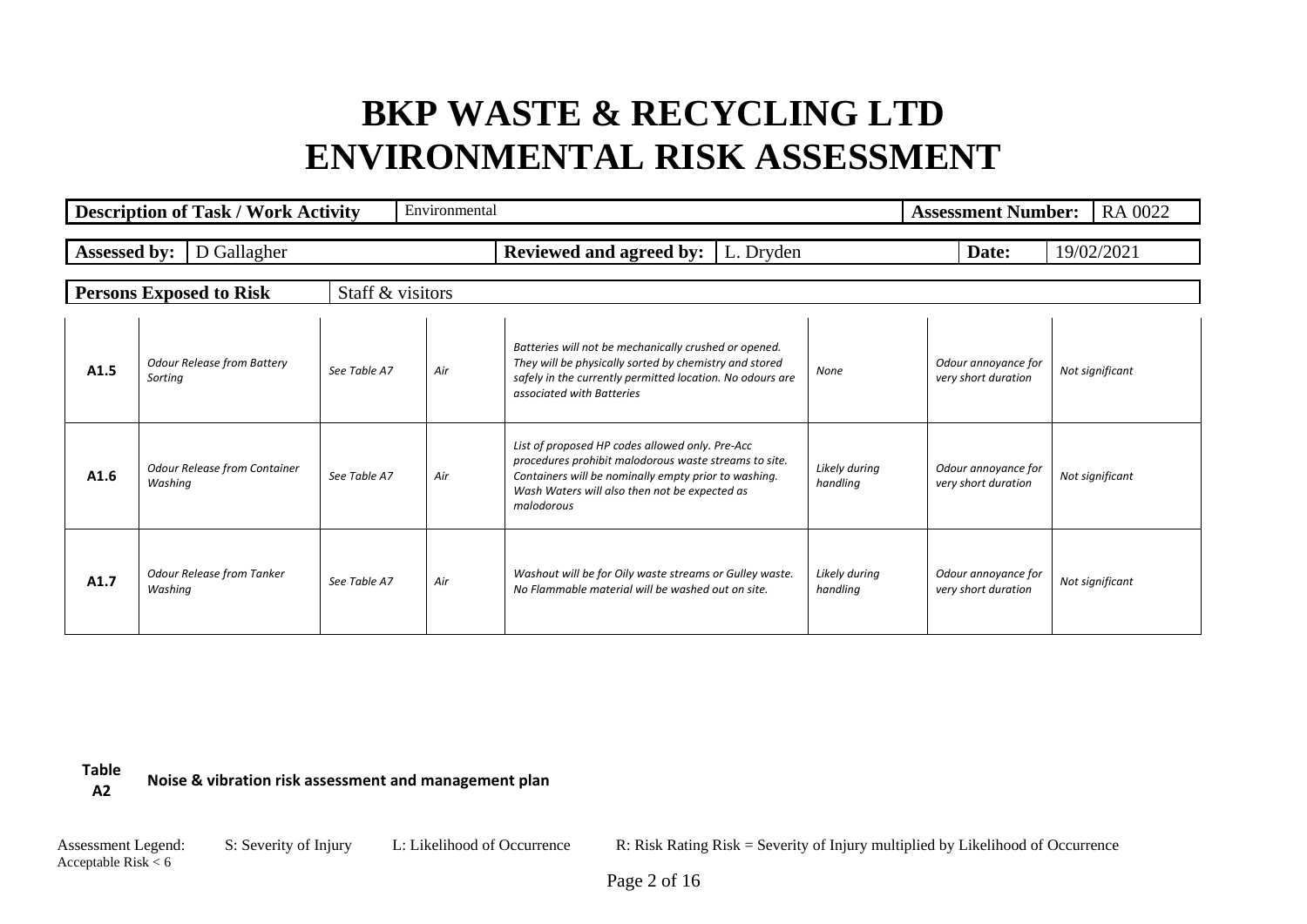|                     | <b>Description of Task / Work Activity</b>     |                  | Environmental |                                                                                                                                                                                                                                 |                           | <b>Assessment Number:</b>                  | RA 0022         |
|---------------------|------------------------------------------------|------------------|---------------|---------------------------------------------------------------------------------------------------------------------------------------------------------------------------------------------------------------------------------|---------------------------|--------------------------------------------|-----------------|
| <b>Assessed by:</b> | D Gallagher                                    |                  |               | Reviewed and agreed by:  <br>L. Dryden                                                                                                                                                                                          |                           | Date:                                      | 19/02/2021      |
|                     | <b>Persons Exposed to Risk</b>                 | Staff & visitors |               |                                                                                                                                                                                                                                 |                           |                                            |                 |
| A1.5                | <b>Odour Release from Battery</b><br>Sorting   | See Table A7     | Air           | Batteries will not be mechanically crushed or opened.<br>They will be physically sorted by chemistry and stored<br>safely in the currently permitted location. No odours are<br>associated with Batteries                       | None                      | Odour annoyance for<br>very short duration | Not significant |
| A1.6                | <b>Odour Release from Container</b><br>Washing | See Table A7     | Air           | List of proposed HP codes allowed only. Pre-Acc<br>procedures prohibit malodorous waste streams to site.<br>Containers will be nominally empty prior to washing.<br>Wash Waters will also then not be expected as<br>malodorous | Likely during<br>handling | Odour annoyance for<br>very short duration | Not significant |
| A1.7                | <b>Odour Release from Tanker</b><br>Washing    | See Table A7     | Air           | Washout will be for Oily waste streams or Gulley waste.<br>No Flammable material will be washed out on site.                                                                                                                    | Likely during<br>handling | Odour annoyance for<br>very short duration | Not significant |

**Table A2 Noise & vibration risk assessment and management plan**

Acceptable Risk  $< 6$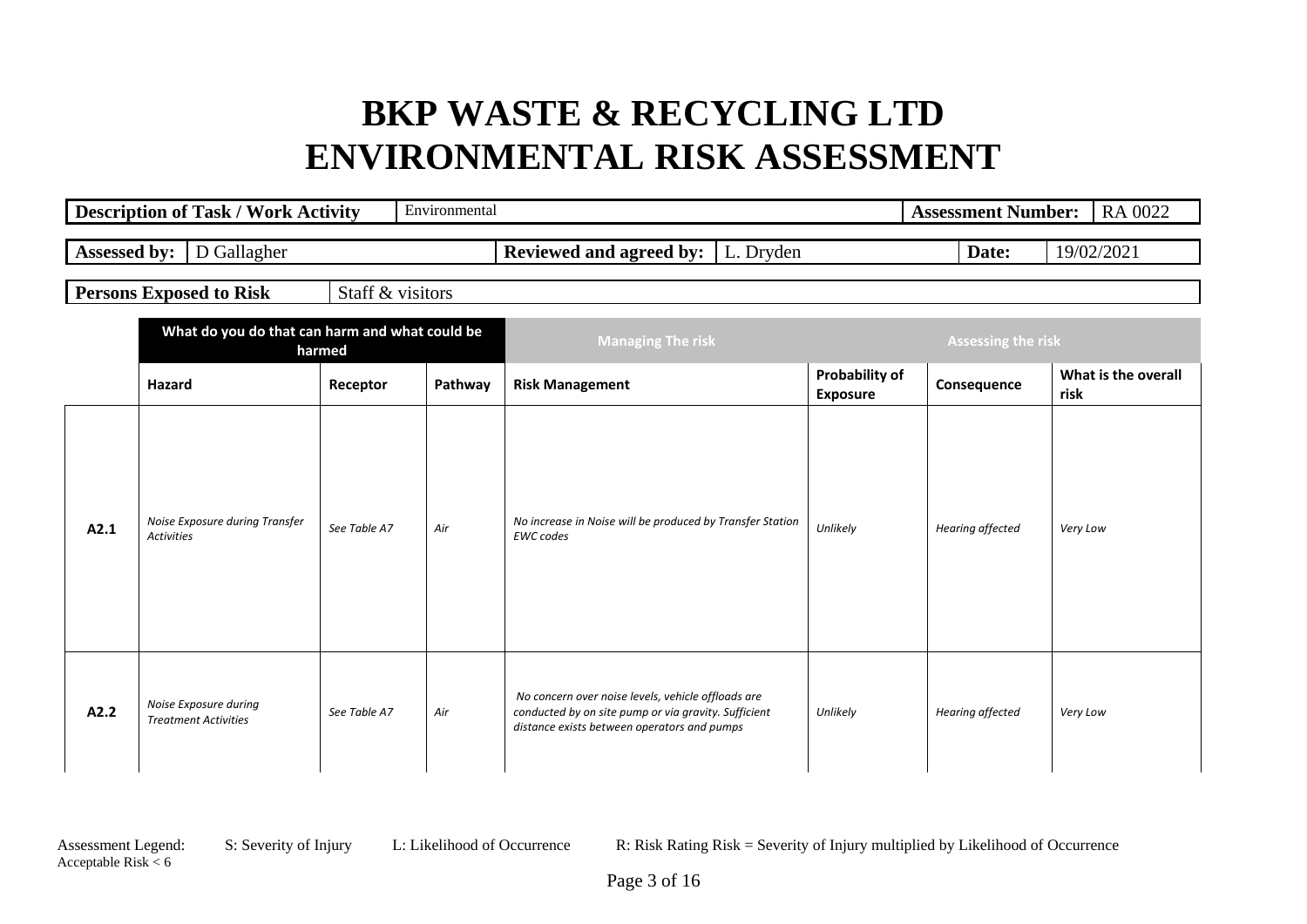|                                                          | <b>Description of Task / Work Activity</b>           |                  | Environmental            |                                                                                                                                                           |                                          | <b>Assessment Number:</b> | RA 0022                     |
|----------------------------------------------------------|------------------------------------------------------|------------------|--------------------------|-----------------------------------------------------------------------------------------------------------------------------------------------------------|------------------------------------------|---------------------------|-----------------------------|
| <b>Assessed by:</b>                                      | D Gallagher                                          |                  |                          | <b>Reviewed and agreed by:</b>   L. Dryden                                                                                                                |                                          | Date:                     | 19/02/2021                  |
|                                                          | <b>Persons Exposed to Risk</b>                       | Staff & visitors |                          |                                                                                                                                                           |                                          |                           |                             |
| What do you do that can harm and what could be<br>harmed |                                                      |                  | <b>Managing The risk</b> |                                                                                                                                                           | <b>Assessing the risk</b>                |                           |                             |
|                                                          | <b>Hazard</b>                                        | Receptor         | Pathway                  | <b>Risk Management</b>                                                                                                                                    | <b>Probability of</b><br><b>Exposure</b> | Consequence               | What is the overall<br>risk |
| A2.1                                                     | Noise Exposure during Transfer<br><b>Activities</b>  | See Table A7     | Air                      | No increase in Noise will be produced by Transfer Station<br><b>EWC</b> codes                                                                             | Unlikely                                 | Hearing affected          | Very Low                    |
| A2.2                                                     | Noise Exposure during<br><b>Treatment Activities</b> | See Table A7     | Air                      | No concern over noise levels, vehicle offloads are<br>conducted by on site pump or via gravity. Sufficient<br>distance exists between operators and pumps | Unlikely                                 | Hearing affected          | Very Low                    |

Acceptable Risk  $< 6$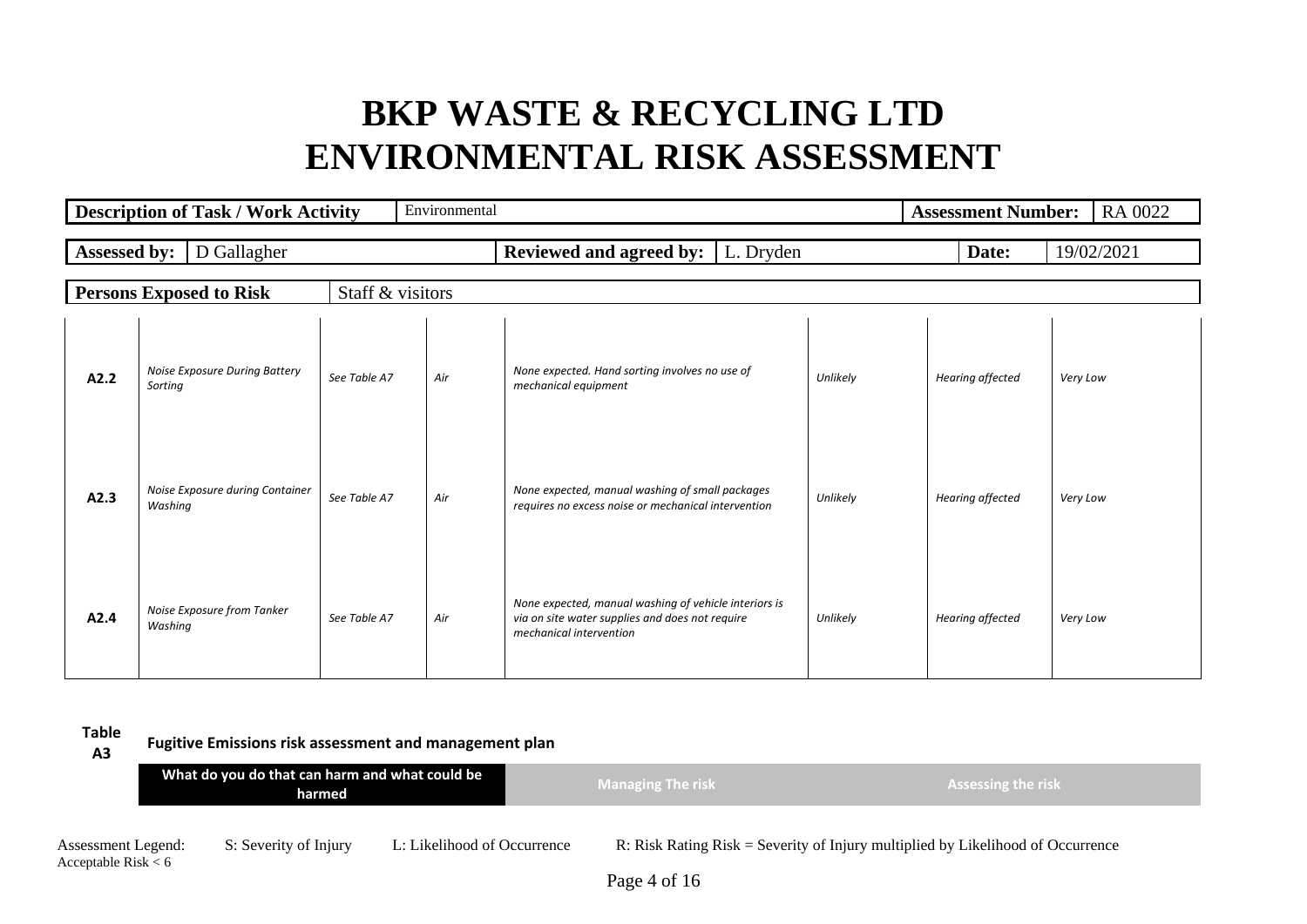|                     | <b>Description of Task / Work Activity</b> |                  | Environmental |                                                                                                                                     |          | <b>Assessment Number:</b> | RA 0022    |
|---------------------|--------------------------------------------|------------------|---------------|-------------------------------------------------------------------------------------------------------------------------------------|----------|---------------------------|------------|
| <b>Assessed by:</b> | D Gallagher                                |                  |               | <b>Reviewed and agreed by:</b>   L. Dryden                                                                                          |          | Date:                     | 19/02/2021 |
|                     | <b>Persons Exposed to Risk</b>             | Staff & visitors |               |                                                                                                                                     |          |                           |            |
| A2.2                | Noise Exposure During Battery<br>Sorting   | See Table A7     | Air           | None expected. Hand sorting involves no use of<br>mechanical equipment                                                              | Unlikely | Hearing affected          | Very Low   |
| A2.3                | Noise Exposure during Container<br>Washing | See Table A7     | Air           | None expected, manual washing of small packages<br>requires no excess noise or mechanical intervention                              | Unlikely | Hearing affected          | Very Low   |
| A2.4                | Noise Exposure from Tanker<br>Washing      | See Table A7     | Air           | None expected, manual washing of vehicle interiors is<br>via on site water supplies and does not require<br>mechanical intervention | Unlikely | Hearing affected          | Very Low   |

**Table** 

Acceptable Risk  $< 6$ 

**A3 Fugitive Emissions risk assessment and management plan**

|                    | What do you do that can harm and what could be<br>harmed |                             | <b>Managing The risk</b> | <b>Assessing the risk</b>                                                         |
|--------------------|----------------------------------------------------------|-----------------------------|--------------------------|-----------------------------------------------------------------------------------|
| Assessment Legend: | S: Severity of Injury                                    | L: Likelihood of Occurrence |                          | R: Risk Rating $Risk =$ Severity of Injury multiplied by Likelihood of Occurrence |

Page 4 of 16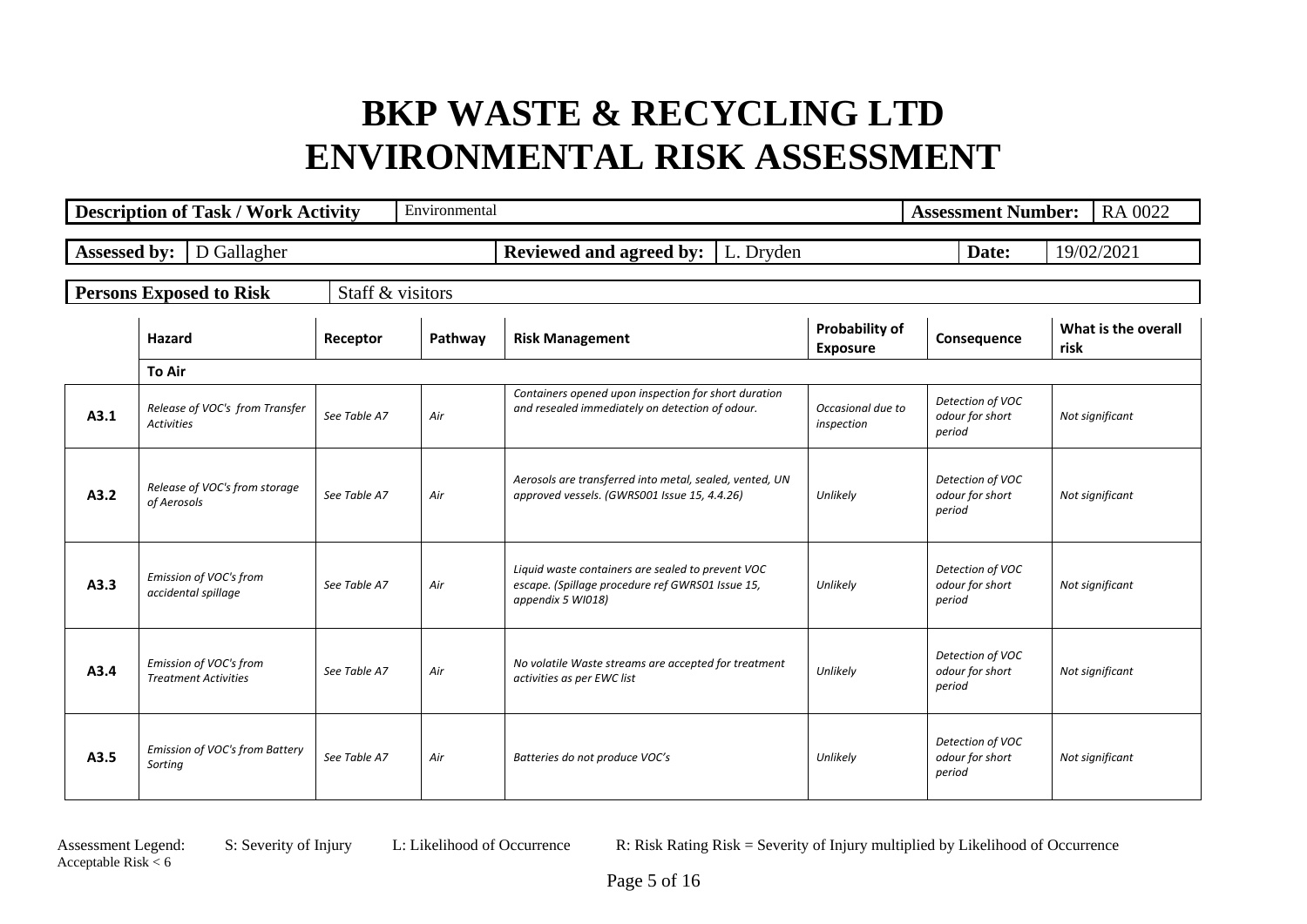|              | <b>Description of Task / Work Activity</b>            |                  | Environmental |                                                                                                                            |                                   | <b>Assessment Number:</b>                     | RA 0022                     |
|--------------|-------------------------------------------------------|------------------|---------------|----------------------------------------------------------------------------------------------------------------------------|-----------------------------------|-----------------------------------------------|-----------------------------|
| Assessed by: | D Gallagher                                           |                  |               | Reviewed and agreed by:<br>L. Dryden                                                                                       |                                   | Date:                                         | 19/02/2021                  |
|              | <b>Persons Exposed to Risk</b>                        | Staff & visitors |               |                                                                                                                            |                                   |                                               |                             |
|              | Hazard                                                | Receptor         | Pathway       | <b>Risk Management</b>                                                                                                     | Probability of<br><b>Exposure</b> | Consequence                                   | What is the overall<br>risk |
|              | <b>To Air</b>                                         |                  |               |                                                                                                                            |                                   |                                               |                             |
| A3.1         | Release of VOC's from Transfer<br><b>Activities</b>   | See Table A7     | Air           | Containers opened upon inspection for short duration<br>and resealed immediately on detection of odour.                    | Occasional due to<br>inspection   | Detection of VOC<br>odour for short<br>period | Not significant             |
| A3.2         | Release of VOC's from storage<br>of Aerosols          | See Table A7     | Air           | Aerosols are transferred into metal, sealed, vented, UN<br>approved vessels. (GWRS001 Issue 15, 4.4.26)                    | Unlikely                          | Detection of VOC<br>odour for short<br>period | Not significant             |
| A3.3         | Emission of VOC's from<br>accidental spillage         | See Table A7     | Air           | Liquid waste containers are sealed to prevent VOC<br>escape. (Spillage procedure ref GWRS01 Issue 15,<br>appendix 5 WI018) | Unlikely                          | Detection of VOC<br>odour for short<br>period | Not significant             |
| A3.4         | Emission of VOC's from<br><b>Treatment Activities</b> | See Table A7     | Air           | No volatile Waste streams are accepted for treatment<br>activities as per EWC list                                         | Unlikely                          | Detection of VOC<br>odour for short<br>period | Not significant             |
| A3.5         | Emission of VOC's from Battery<br>Sorting             | See Table A7     | Air           | Batteries do not produce VOC's                                                                                             | Unlikely                          | Detection of VOC<br>odour for short<br>period | Not significant             |

Acceptable Risk  $< 6$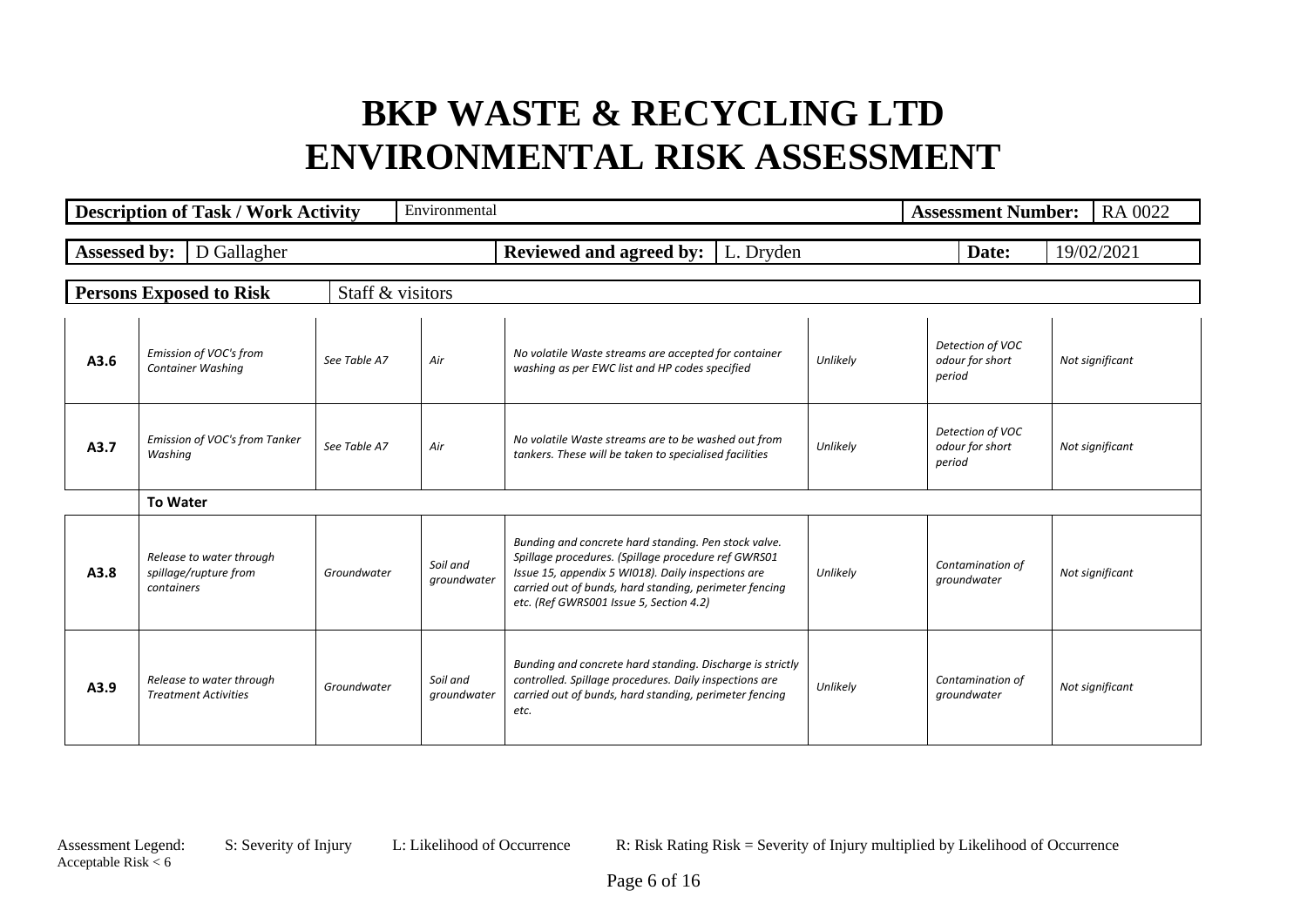|              | <b>Description of Task / Work Activity</b>                      |                  | Environmental           |                                                                                                                                                                                                                                                                        |          | <b>Assessment Number:</b>                     | RA 0022         |
|--------------|-----------------------------------------------------------------|------------------|-------------------------|------------------------------------------------------------------------------------------------------------------------------------------------------------------------------------------------------------------------------------------------------------------------|----------|-----------------------------------------------|-----------------|
| Assessed by: | D Gallagher                                                     |                  |                         | <b>Reviewed and agreed by:</b>   L. Dryden                                                                                                                                                                                                                             |          | Date:                                         | 19/02/2021      |
|              | <b>Persons Exposed to Risk</b>                                  | Staff & visitors |                         |                                                                                                                                                                                                                                                                        |          |                                               |                 |
| A3.6         | Emission of VOC's from<br>Container Washing                     | See Table A7     | Air                     | No volatile Waste streams are accepted for container<br>washing as per EWC list and HP codes specified                                                                                                                                                                 | Unlikely | Detection of VOC<br>odour for short<br>period | Not significant |
| A3.7         | Emission of VOC's from Tanker<br>Washing                        | See Table A7     | Air                     | No volatile Waste streams are to be washed out from<br>tankers. These will be taken to specialised facilities                                                                                                                                                          | Unlikely | Detection of VOC<br>odour for short<br>period | Not significant |
|              | <b>To Water</b>                                                 |                  |                         |                                                                                                                                                                                                                                                                        |          |                                               |                 |
| A3.8         | Release to water through<br>spillage/rupture from<br>containers | Groundwater      | Soil and<br>groundwater | Bunding and concrete hard standing. Pen stock valve.<br>Spillage procedures. (Spillage procedure ref GWRS01<br>Issue 15, appendix 5 WI018). Daily inspections are<br>carried out of bunds, hard standing, perimeter fencing<br>etc. (Ref GWRS001 Issue 5, Section 4.2) | Unlikely | Contamination of<br>groundwater               | Not significant |
| A3.9         | Release to water through<br><b>Treatment Activities</b>         | Groundwater      | Soil and<br>groundwater | Bunding and concrete hard standing. Discharge is strictly<br>controlled. Spillage procedures. Daily inspections are<br>carried out of bunds, hard standing, perimeter fencing<br>etc.                                                                                  | Unlikely | Contamination of<br>groundwater               | Not significant |

Acceptable Risk  $< 6$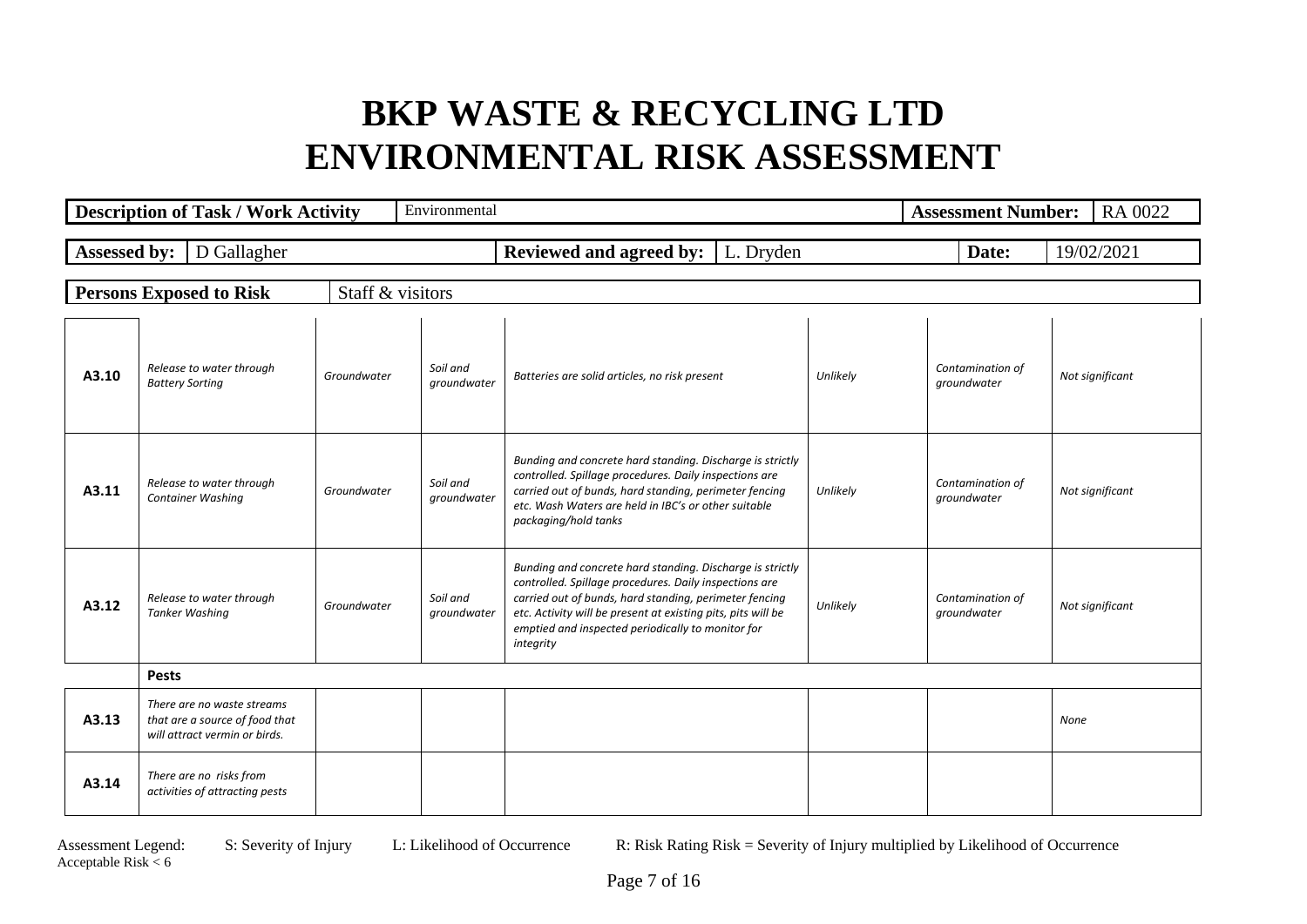|                     | <b>Description of Task / Work Activity</b>                                                    |                  | Environmental           |                                                                                                                                                                                                                                                                                                                 |          | <b>Assessment Number:</b>       | RA 0022         |
|---------------------|-----------------------------------------------------------------------------------------------|------------------|-------------------------|-----------------------------------------------------------------------------------------------------------------------------------------------------------------------------------------------------------------------------------------------------------------------------------------------------------------|----------|---------------------------------|-----------------|
| <b>Assessed by:</b> | D Gallagher                                                                                   |                  |                         | <b>Reviewed and agreed by:</b><br>L. Dryden                                                                                                                                                                                                                                                                     |          | Date:                           | 19/02/2021      |
|                     | <b>Persons Exposed to Risk</b>                                                                | Staff & visitors |                         |                                                                                                                                                                                                                                                                                                                 |          |                                 |                 |
| A3.10               | Release to water through<br><b>Battery Sorting</b>                                            | Groundwater      | Soil and<br>groundwater | Batteries are solid articles, no risk present                                                                                                                                                                                                                                                                   | Unlikely | Contamination of<br>groundwater | Not significant |
| A3.11               | Release to water through<br><b>Container Washing</b>                                          | Groundwater      | Soil and<br>groundwater | Bunding and concrete hard standing. Discharge is strictly<br>controlled. Spillage procedures. Daily inspections are<br>carried out of bunds, hard standing, perimeter fencing<br>etc. Wash Waters are held in IBC's or other suitable<br>packaging/hold tanks                                                   | Unlikely | Contamination of<br>groundwater | Not significant |
| A3.12               | Release to water through<br><b>Tanker Washing</b>                                             | Groundwater      | Soil and<br>groundwater | Bunding and concrete hard standing. Discharge is strictly<br>controlled. Spillage procedures. Daily inspections are<br>carried out of bunds, hard standing, perimeter fencing<br>etc. Activity will be present at existing pits, pits will be<br>emptied and inspected periodically to monitor for<br>integrity | Unlikely | Contamination of<br>groundwater | Not significant |
|                     | <b>Pests</b>                                                                                  |                  |                         |                                                                                                                                                                                                                                                                                                                 |          |                                 |                 |
| A3.13               | There are no waste streams<br>that are a source of food that<br>will attract vermin or birds. |                  |                         |                                                                                                                                                                                                                                                                                                                 |          |                                 | None            |
| A3.14               | There are no risks from<br>activities of attracting pests                                     |                  |                         |                                                                                                                                                                                                                                                                                                                 |          |                                 |                 |

Acceptable Risk  $< 6$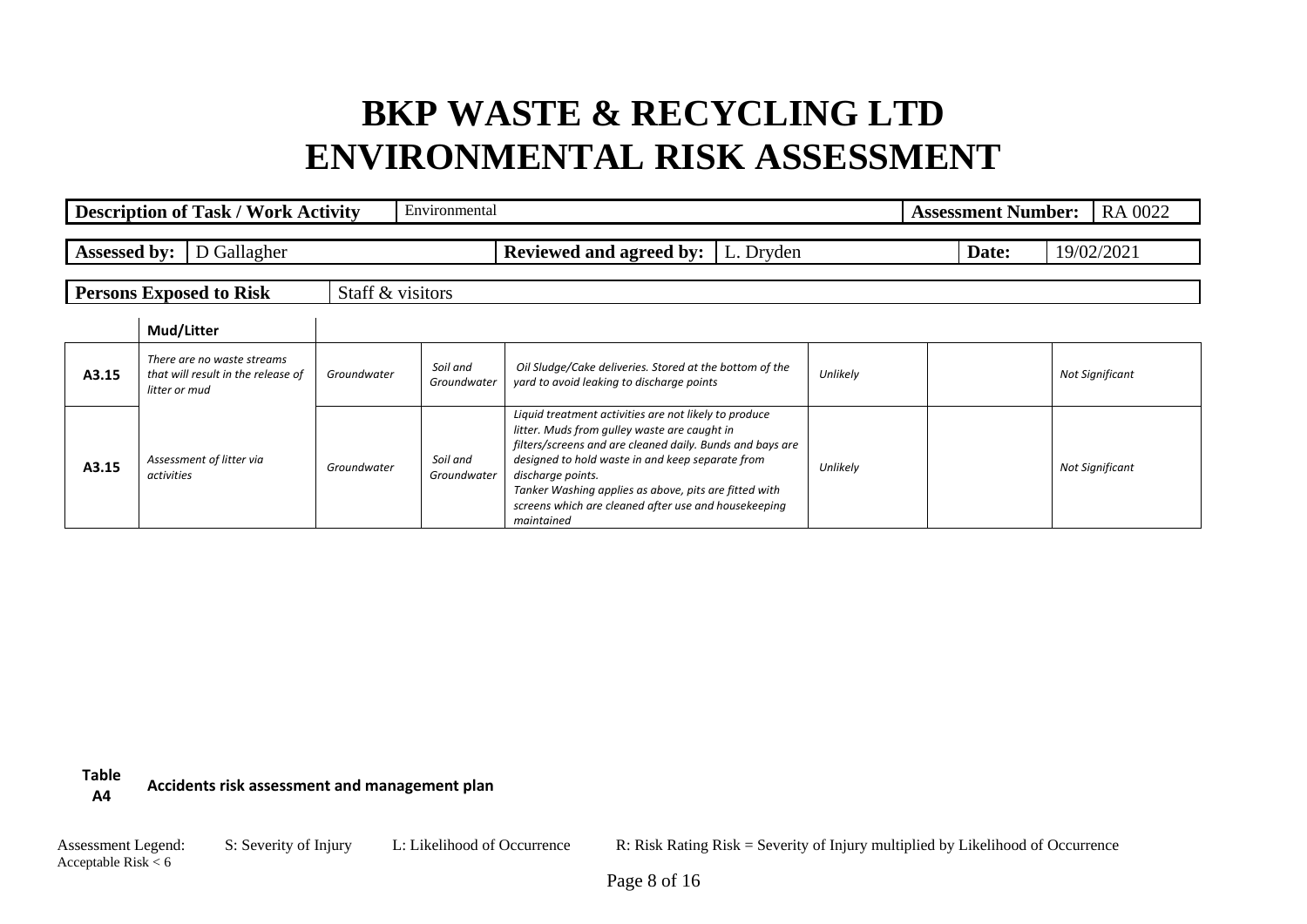|                     | <b>Description of Task / Work Activity</b>                                        |                  | Environmental           |                                                                                                                                                                                                                                                                                                                                                                            |          | <b>Assessment Number:</b> | RA 0022                |
|---------------------|-----------------------------------------------------------------------------------|------------------|-------------------------|----------------------------------------------------------------------------------------------------------------------------------------------------------------------------------------------------------------------------------------------------------------------------------------------------------------------------------------------------------------------------|----------|---------------------------|------------------------|
| <b>Assessed by:</b> | D Gallagher                                                                       |                  |                         | <b>Reviewed and agreed by:</b>   L. Dryden                                                                                                                                                                                                                                                                                                                                 |          | Date:                     | 19/02/2021             |
|                     | <b>Persons Exposed to Risk</b>                                                    | Staff & visitors |                         |                                                                                                                                                                                                                                                                                                                                                                            |          |                           |                        |
|                     | Mud/Litter                                                                        |                  |                         |                                                                                                                                                                                                                                                                                                                                                                            |          |                           |                        |
| A3.15               | There are no waste streams<br>that will result in the release of<br>litter or mud | Groundwater      | Soil and<br>Groundwater | Oil Sludge/Cake deliveries. Stored at the bottom of the<br>yard to avoid leaking to discharge points                                                                                                                                                                                                                                                                       | Unlikely |                           | <b>Not Significant</b> |
| A3.15               | Assessment of litter via<br>activities                                            | Groundwater      | Soil and<br>Groundwater | Liquid treatment activities are not likely to produce<br>litter. Muds from gulley waste are caught in<br>filters/screens and are cleaned daily. Bunds and bays are<br>designed to hold waste in and keep separate from<br>discharge points.<br>Tanker Washing applies as above, pits are fitted with<br>screens which are cleaned after use and housekeeping<br>maintained | Unlikely |                           | <b>Not Significant</b> |

**Table A4 Accidents risk assessment and management plan**

Acceptable Risk  $< 6$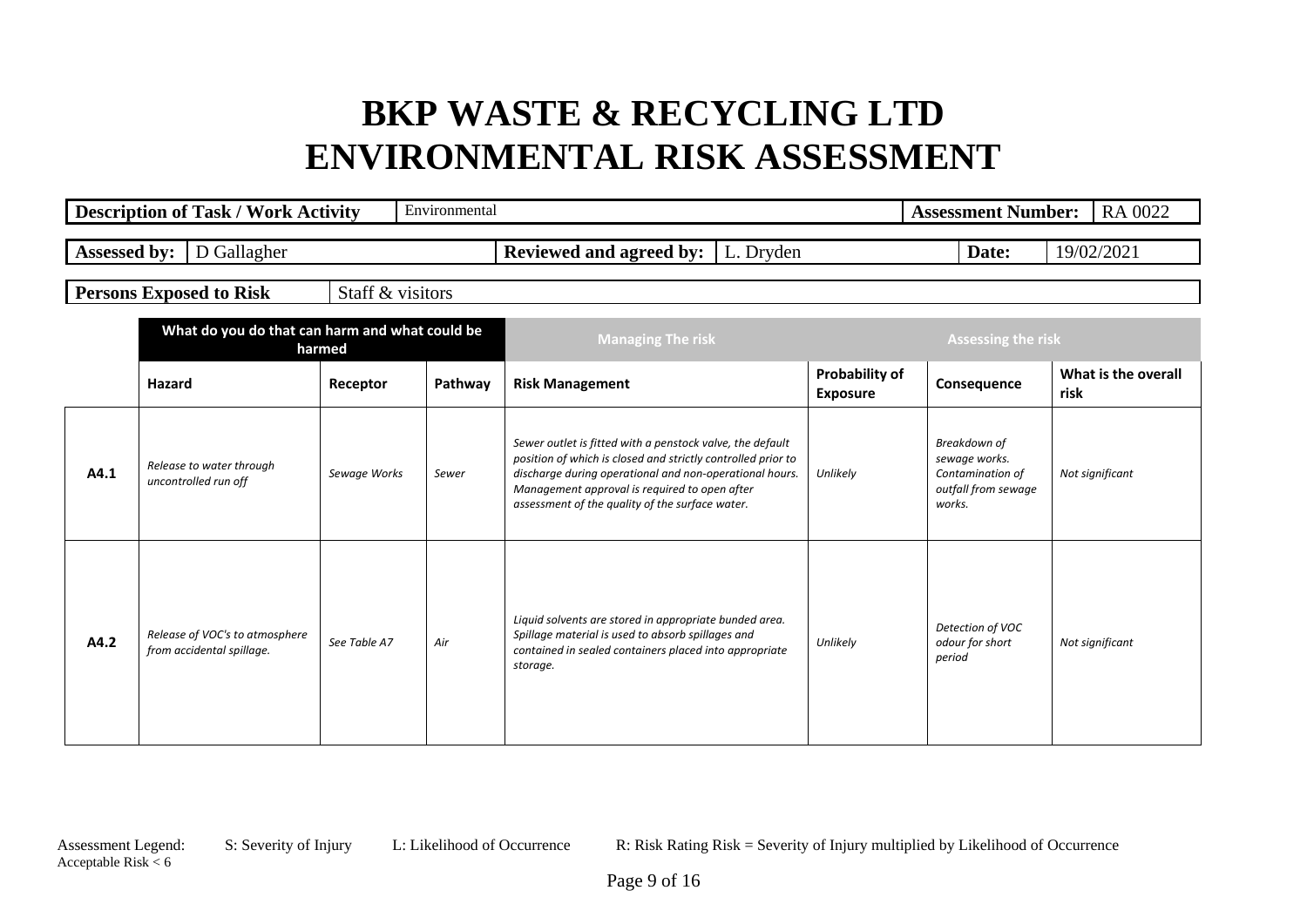|                     | <b>Description of Task / Work Activity</b>                  |                  | Environmental |                                                                                                                                                                                                                                                                                          |                                   | <b>Assessment Number:</b>                                                          | RA 0022                     |
|---------------------|-------------------------------------------------------------|------------------|---------------|------------------------------------------------------------------------------------------------------------------------------------------------------------------------------------------------------------------------------------------------------------------------------------------|-----------------------------------|------------------------------------------------------------------------------------|-----------------------------|
| <b>Assessed by:</b> | D Gallagher                                                 |                  |               | <b>Reviewed and agreed by:</b><br>L. Dryden                                                                                                                                                                                                                                              |                                   | Date:                                                                              | 19/02/2021                  |
|                     | <b>Persons Exposed to Risk</b>                              | Staff & visitors |               |                                                                                                                                                                                                                                                                                          |                                   |                                                                                    |                             |
|                     | What do you do that can harm and what could be              | harmed           |               | <b>Managing The risk</b>                                                                                                                                                                                                                                                                 |                                   | <b>Assessing the risk</b>                                                          |                             |
|                     | Hazard                                                      | Receptor         | Pathway       | <b>Risk Management</b>                                                                                                                                                                                                                                                                   | Probability of<br><b>Exposure</b> | Consequence                                                                        | What is the overall<br>risk |
| A4.1                | Release to water through<br>uncontrolled run off            | Sewage Works     | Sewer         | Sewer outlet is fitted with a penstock valve, the default<br>position of which is closed and strictly controlled prior to<br>discharge during operational and non-operational hours.<br>Management approval is required to open after<br>assessment of the quality of the surface water. | Unlikely                          | Breakdown of<br>sewage works.<br>Contamination of<br>outfall from sewage<br>works. | Not significant             |
| A4.2                | Release of VOC's to atmosphere<br>from accidental spillage. | See Table A7     | Air           | Liquid solvents are stored in appropriate bunded area.<br>Spillage material is used to absorb spillages and<br>contained in sealed containers placed into appropriate<br>storage.                                                                                                        | Unlikely                          | Detection of VOC<br>odour for short<br>period                                      | Not significant             |

Acceptable Risk  $< 6$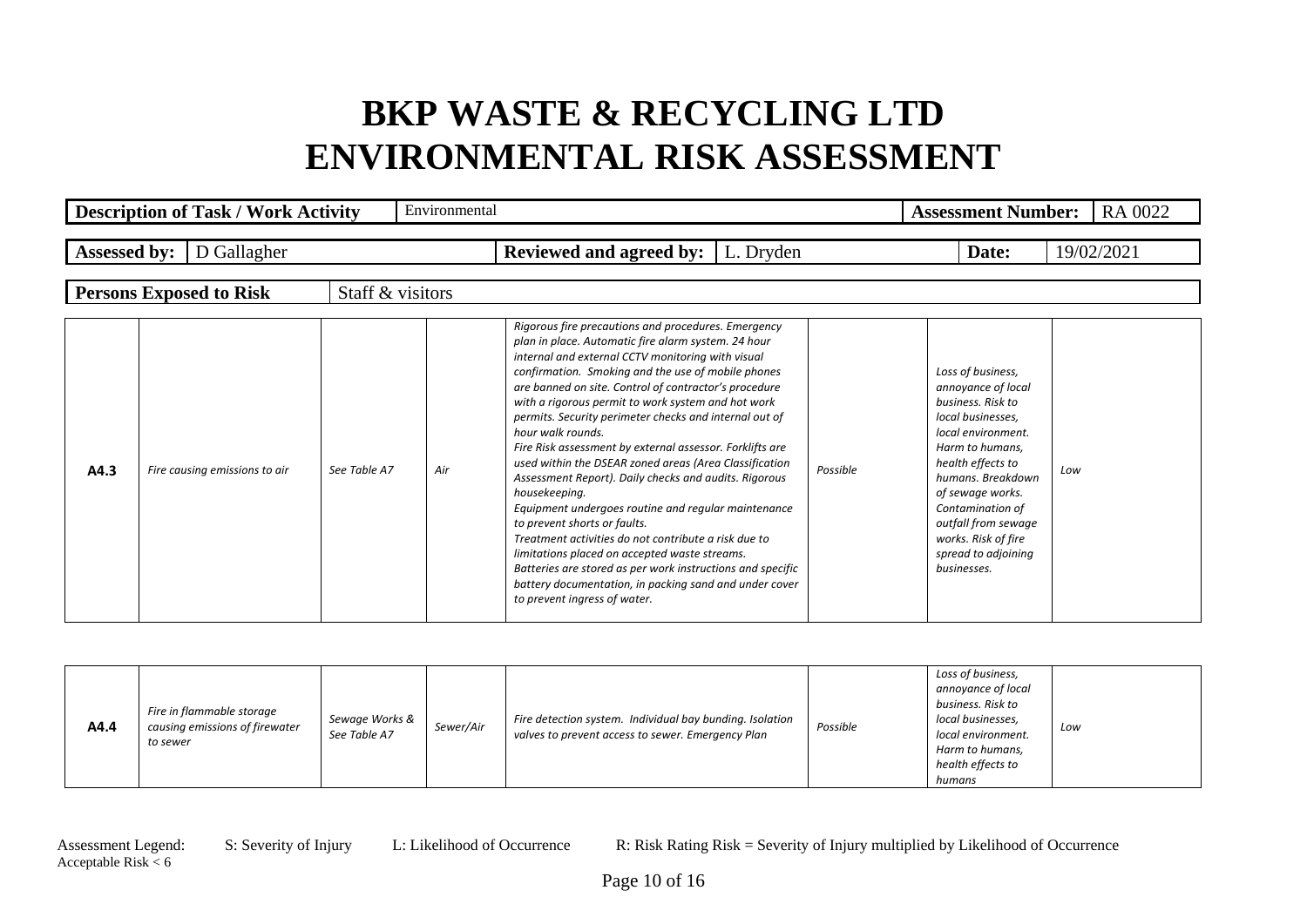|                     | <b>Description of Task / Work Activity</b> |                  | Environmental |                                                                                                                                                                                                                                                                                                                                                                                                                                                                                                                                                                                                                                                                                                                                                                                                                                                                                                                                                                             |          | RA 0022<br><b>Assessment Number:</b>                                                                                                                                                                                                                                                             |            |  |
|---------------------|--------------------------------------------|------------------|---------------|-----------------------------------------------------------------------------------------------------------------------------------------------------------------------------------------------------------------------------------------------------------------------------------------------------------------------------------------------------------------------------------------------------------------------------------------------------------------------------------------------------------------------------------------------------------------------------------------------------------------------------------------------------------------------------------------------------------------------------------------------------------------------------------------------------------------------------------------------------------------------------------------------------------------------------------------------------------------------------|----------|--------------------------------------------------------------------------------------------------------------------------------------------------------------------------------------------------------------------------------------------------------------------------------------------------|------------|--|
| <b>Assessed by:</b> | D Gallagher                                |                  |               | <b>Reviewed and agreed by:</b>   L. Dryden                                                                                                                                                                                                                                                                                                                                                                                                                                                                                                                                                                                                                                                                                                                                                                                                                                                                                                                                  |          | Date:                                                                                                                                                                                                                                                                                            | 19/02/2021 |  |
|                     | <b>Persons Exposed to Risk</b>             | Staff & visitors |               |                                                                                                                                                                                                                                                                                                                                                                                                                                                                                                                                                                                                                                                                                                                                                                                                                                                                                                                                                                             |          |                                                                                                                                                                                                                                                                                                  |            |  |
| A4.3                | Fire causing emissions to air              | See Table A7     | Air           | Rigorous fire precautions and procedures. Emergency<br>plan in place. Automatic fire alarm system. 24 hour<br>internal and external CCTV monitoring with visual<br>confirmation. Smoking and the use of mobile phones<br>are banned on site. Control of contractor's procedure<br>with a rigorous permit to work system and hot work<br>permits. Security perimeter checks and internal out of<br>hour walk rounds.<br>Fire Risk assessment by external assessor. Forklifts are<br>used within the DSEAR zoned areas (Area Classification<br>Assessment Report). Daily checks and audits. Rigorous<br>housekeeping.<br>Equipment undergoes routine and regular maintenance<br>to prevent shorts or faults.<br>Treatment activities do not contribute a risk due to<br>limitations placed on accepted waste streams.<br>Batteries are stored as per work instructions and specific<br>battery documentation, in packing sand and under cover<br>to prevent ingress of water. | Possible | Loss of business,<br>annoyance of local<br>business. Risk to<br>local businesses.<br>local environment.<br>Harm to humans.<br>health effects to<br>humans. Breakdown<br>of sewage works.<br>Contamination of<br>outfall from sewage<br>works. Risk of fire<br>spread to adjoining<br>businesses. | Low        |  |

| A4.4 | Fire in flammable storage<br>causing emissions of firewater<br>to sewer | Sewage Works &<br>See Table A7 | Sewer/Air | Fire detection system. Individual bay bunding. Isolation<br>valves to prevent access to sewer. Emergency Plan | Possible | Loss of business,<br>annoyance of local<br>business. Risk to<br>local businesses,<br>local environment.<br>Harm to humans,<br>health effects to<br>humans | Low |
|------|-------------------------------------------------------------------------|--------------------------------|-----------|---------------------------------------------------------------------------------------------------------------|----------|-----------------------------------------------------------------------------------------------------------------------------------------------------------|-----|
|------|-------------------------------------------------------------------------|--------------------------------|-----------|---------------------------------------------------------------------------------------------------------------|----------|-----------------------------------------------------------------------------------------------------------------------------------------------------------|-----|

Acceptable Risk  $< 6$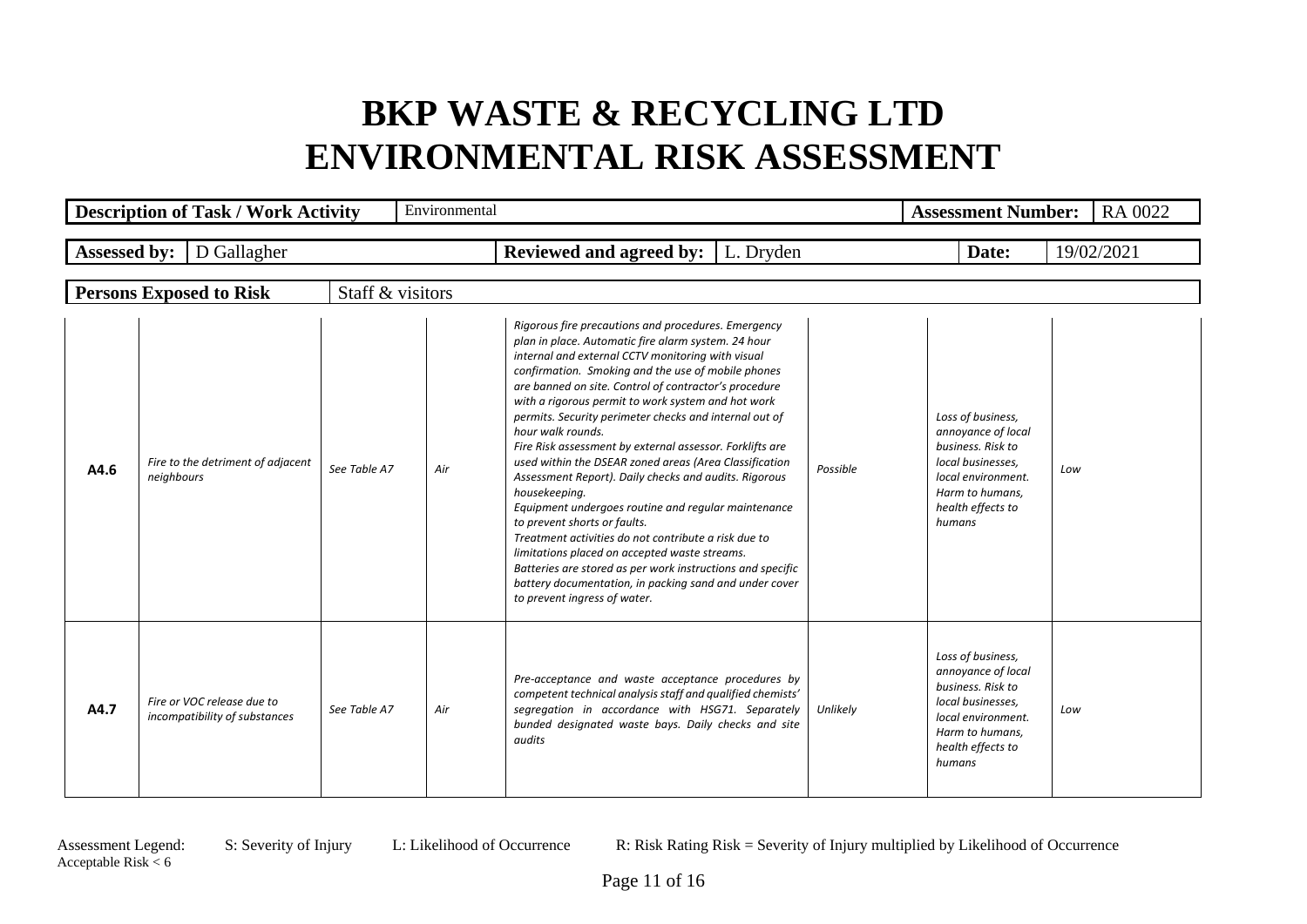|                     | <b>Description of Task / Work Activity</b>                  |                  | Environmental |                                                                                                                                                                                                                                                                                                                                                                                                                                                                                                                                                                                                                                                                                                                                                                                                                                                                                                                                                                             |          | <b>Assessment Number:</b>                                                                                                                                 | <b>RA 0022</b> |
|---------------------|-------------------------------------------------------------|------------------|---------------|-----------------------------------------------------------------------------------------------------------------------------------------------------------------------------------------------------------------------------------------------------------------------------------------------------------------------------------------------------------------------------------------------------------------------------------------------------------------------------------------------------------------------------------------------------------------------------------------------------------------------------------------------------------------------------------------------------------------------------------------------------------------------------------------------------------------------------------------------------------------------------------------------------------------------------------------------------------------------------|----------|-----------------------------------------------------------------------------------------------------------------------------------------------------------|----------------|
| <b>Assessed by:</b> | D Gallagher                                                 |                  |               | <b>Reviewed and agreed by:</b>   L. Dryden                                                                                                                                                                                                                                                                                                                                                                                                                                                                                                                                                                                                                                                                                                                                                                                                                                                                                                                                  |          | Date:                                                                                                                                                     | 19/02/2021     |
|                     | <b>Persons Exposed to Risk</b>                              | Staff & visitors |               |                                                                                                                                                                                                                                                                                                                                                                                                                                                                                                                                                                                                                                                                                                                                                                                                                                                                                                                                                                             |          |                                                                                                                                                           |                |
| A4.6                | Fire to the detriment of adjacent<br>neighbours             | See Table A7     | Air           | Rigorous fire precautions and procedures. Emergency<br>plan in place. Automatic fire alarm system. 24 hour<br>internal and external CCTV monitoring with visual<br>confirmation. Smoking and the use of mobile phones<br>are banned on site. Control of contractor's procedure<br>with a rigorous permit to work system and hot work<br>permits. Security perimeter checks and internal out of<br>hour walk rounds.<br>Fire Risk assessment by external assessor. Forklifts are<br>used within the DSEAR zoned areas (Area Classification<br>Assessment Report). Daily checks and audits. Rigorous<br>housekeeping.<br>Equipment undergoes routine and regular maintenance<br>to prevent shorts or faults.<br>Treatment activities do not contribute a risk due to<br>limitations placed on accepted waste streams.<br>Batteries are stored as per work instructions and specific<br>battery documentation, in packing sand and under cover<br>to prevent ingress of water. | Possible | Loss of business,<br>annoyance of local<br>business. Risk to<br>local businesses.<br>local environment.<br>Harm to humans,<br>health effects to<br>humans | Low            |
| A4.7                | Fire or VOC release due to<br>incompatibility of substances | See Table A7     | Air           | Pre-acceptance and waste acceptance procedures by<br>competent technical analysis staff and qualified chemists'<br>segregation in accordance with HSG71. Separately<br>bunded designated waste bays. Daily checks and site<br>audits                                                                                                                                                                                                                                                                                                                                                                                                                                                                                                                                                                                                                                                                                                                                        | Unlikely | Loss of business,<br>annoyance of local<br>business. Risk to<br>local businesses,<br>local environment.<br>Harm to humans,<br>health effects to<br>humans | Low            |

Acceptable Risk  $< 6$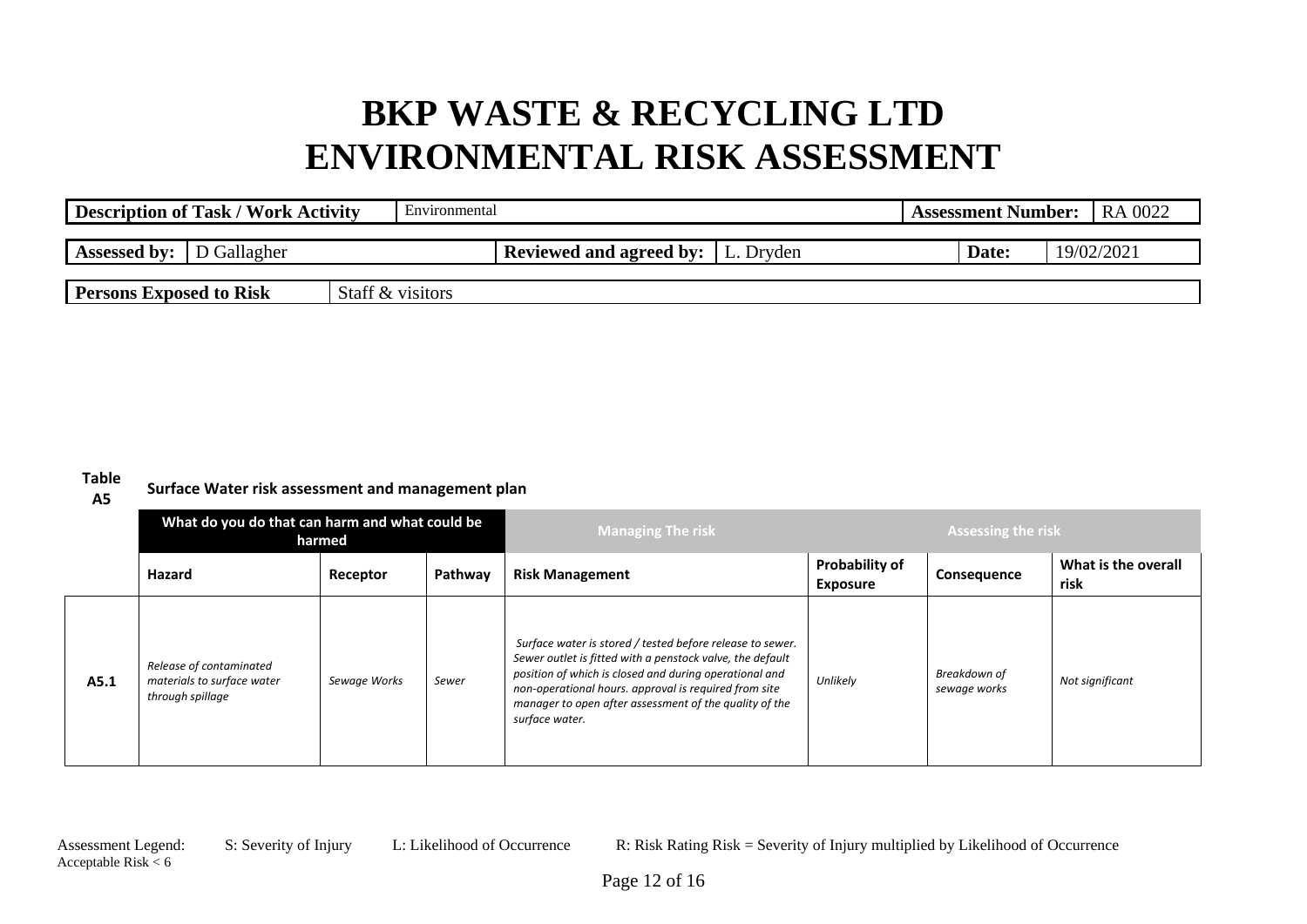| <b>Description of Task / Work Activity</b> | Environmental    |                                            | <b>Assessment Number:</b> | RA 0022    |
|--------------------------------------------|------------------|--------------------------------------------|---------------------------|------------|
| <b>Assessed by:</b><br>D Gallagher         |                  | <b>Reviewed and agreed by:</b>   L. Dryden | Date:                     | 19/02/2021 |
| <b>Persons Exposed to Risk</b>             | Staff & visitors |                                            |                           |            |

#### **Table**

**A5 Surface Water risk assessment and management plan**

|      | What do you do that can harm and what could be<br>harmed                  |              |         | <b>Managing The risk</b>                                                                                                                                                                                                                                                                                              |                                   | <b>Assessing the risk</b>    |                             |
|------|---------------------------------------------------------------------------|--------------|---------|-----------------------------------------------------------------------------------------------------------------------------------------------------------------------------------------------------------------------------------------------------------------------------------------------------------------------|-----------------------------------|------------------------------|-----------------------------|
|      | Hazard                                                                    | Receptor     | Pathway | <b>Risk Management</b>                                                                                                                                                                                                                                                                                                | Probability of<br><b>Exposure</b> | Consequence                  | What is the overall<br>risk |
| A5.1 | Release of contaminated<br>materials to surface water<br>through spillage | Sewage Works | Sewer   | Surface water is stored / tested before release to sewer.<br>Sewer outlet is fitted with a penstock valve, the default<br>position of which is closed and during operational and<br>non-operational hours. approval is required from site<br>manager to open after assessment of the quality of the<br>surface water. | Unlikely                          | Breakdown of<br>sewage works | Not significant             |

Acceptable Risk  $< 6$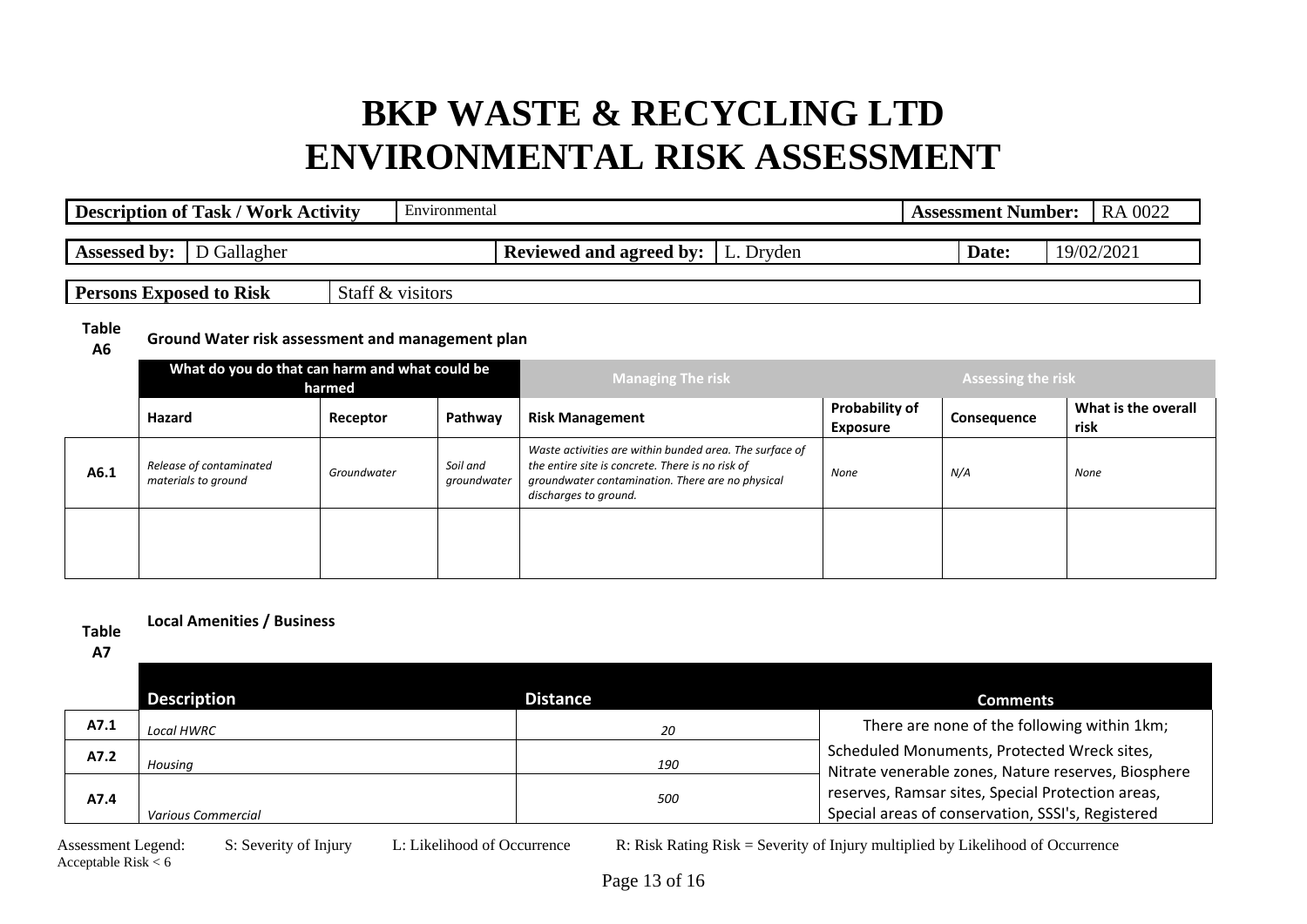| <b>Description of Task / Work Activity</b> | Environmental    |                                            | <b>Assessment Number:</b> |            | RA 0022 |
|--------------------------------------------|------------------|--------------------------------------------|---------------------------|------------|---------|
| <b>Assessed by:</b> D Gallagher            |                  | <b>Reviewed and agreed by:</b>   L. Dryden | Date:                     | 19/02/2021 |         |
| <b>Persons Exposed to Risk</b>             | Staff & visitors |                                            |                           |            |         |

**Table** 

**A6 Ground Water risk assessment and management plan**

|      | What do you do that can harm and what could be | harmed      |                         | <b>Managing The risk</b>                                                                                                                                                                 | Assessing the risk                |             |                             |
|------|------------------------------------------------|-------------|-------------------------|------------------------------------------------------------------------------------------------------------------------------------------------------------------------------------------|-----------------------------------|-------------|-----------------------------|
|      | Hazard                                         | Receptor    | Pathway                 | <b>Risk Management</b>                                                                                                                                                                   | Probability of<br><b>Exposure</b> | Consequence | What is the overall<br>risk |
| A6.1 | Release of contaminated<br>materials to ground | Groundwater | Soil and<br>groundwater | Waste activities are within bunded area. The surface of<br>the entire site is concrete. There is no risk of<br>groundwater contamination. There are no physical<br>discharges to ground. | None                              | N/A         | None                        |
|      |                                                |             |                         |                                                                                                                                                                                          |                                   |             |                             |

#### **Table Local Amenities / Business**

**A7**

|      | <b>Description</b> | <b>Distance</b> | <b>Comments</b>                                                                                        |
|------|--------------------|-----------------|--------------------------------------------------------------------------------------------------------|
| A7.1 | <b>Local HWRC</b>  | 20              | There are none of the following within 1km;                                                            |
| A7.2 | Housing            | 190             | Scheduled Monuments, Protected Wreck sites,<br>Nitrate venerable zones, Nature reserves, Biosphere     |
| A7.4 | Various Commercial | 500             | reserves, Ramsar sites, Special Protection areas,<br>Special areas of conservation, SSSI's, Registered |

Acceptable Risk  $< 6$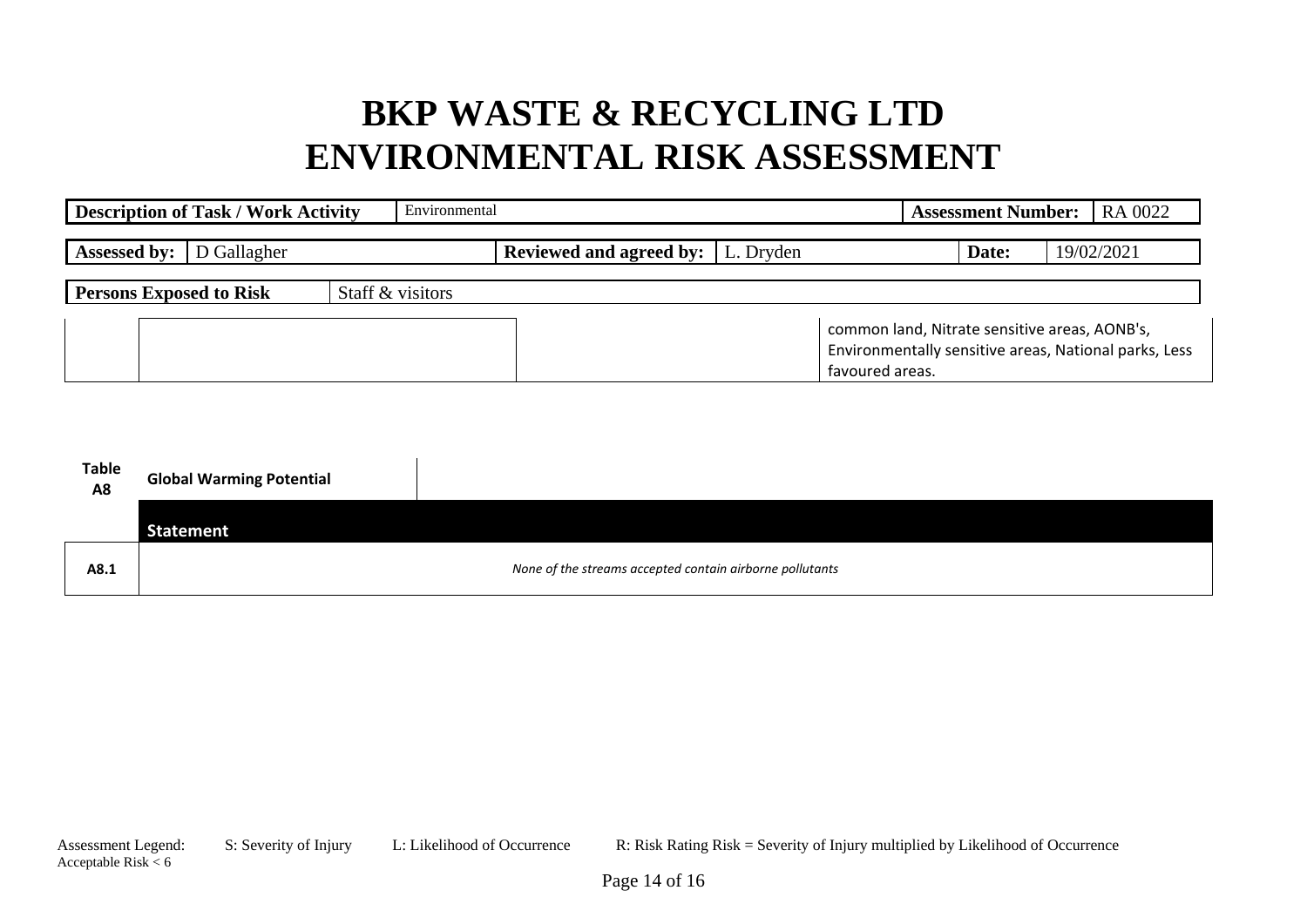| <b>Description of Task / Work Activity</b> | Environmental    |                                            |                                                                                                                           | <b>Assessment Number:</b> | RA 0022    |
|--------------------------------------------|------------------|--------------------------------------------|---------------------------------------------------------------------------------------------------------------------------|---------------------------|------------|
| <b>Assessed by:</b><br>D Gallagher         |                  | <b>Reviewed and agreed by:</b>   L. Dryden |                                                                                                                           | Date:                     | 19/02/2021 |
| <b>Persons Exposed to Risk</b>             | Staff & visitors |                                            |                                                                                                                           |                           |            |
|                                            |                  |                                            | common land, Nitrate sensitive areas, AONB's,<br>Environmentally sensitive areas, National parks, Less<br>favoured areas. |                           |            |

| <b>Table</b><br>A8 | <b>Global Warming Potential</b> |                                                          |
|--------------------|---------------------------------|----------------------------------------------------------|
|                    | Statement                       |                                                          |
| A8.1               |                                 | None of the streams accepted contain airborne pollutants |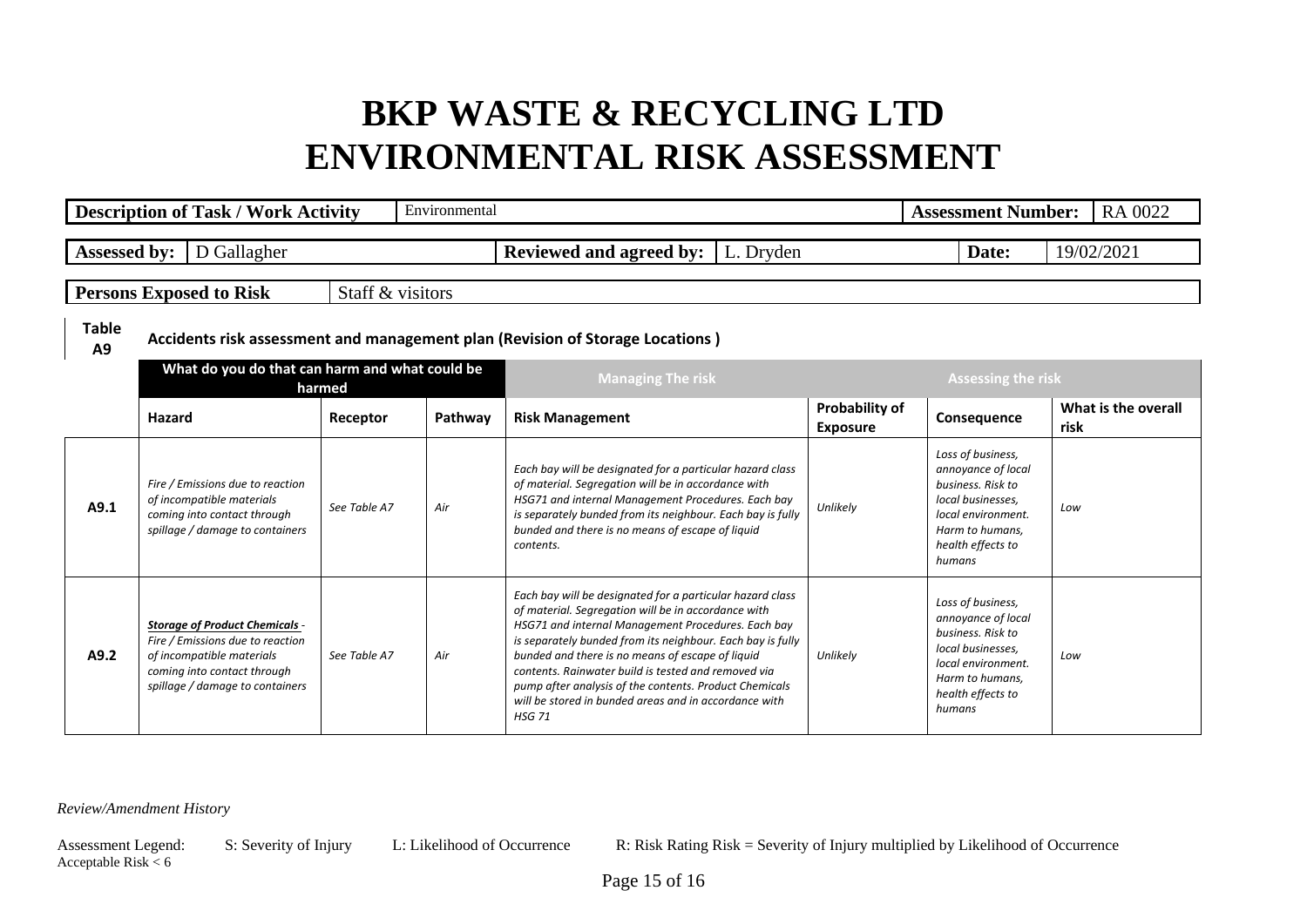|                                | <b>Description of Task / Work Activity</b>                                                                                                                               |                  | Environmental |                                                                                                                                                                                                                                                                                                                                                                                                                                                                                     |                                   | <b>Assessment Number:</b>                                                                                                                                 | RA 0022                     |  |  |  |
|--------------------------------|--------------------------------------------------------------------------------------------------------------------------------------------------------------------------|------------------|---------------|-------------------------------------------------------------------------------------------------------------------------------------------------------------------------------------------------------------------------------------------------------------------------------------------------------------------------------------------------------------------------------------------------------------------------------------------------------------------------------------|-----------------------------------|-----------------------------------------------------------------------------------------------------------------------------------------------------------|-----------------------------|--|--|--|
| <b>Assessed by:</b>            | D Gallagher                                                                                                                                                              |                  |               | <b>Reviewed and agreed by:</b><br>L. Dryden                                                                                                                                                                                                                                                                                                                                                                                                                                         |                                   | Date:                                                                                                                                                     | 19/02/2021                  |  |  |  |
|                                | <b>Persons Exposed to Risk</b>                                                                                                                                           | Staff & visitors |               |                                                                                                                                                                                                                                                                                                                                                                                                                                                                                     |                                   |                                                                                                                                                           |                             |  |  |  |
| <b>Table</b><br>A <sub>9</sub> | Accidents risk assessment and management plan (Revision of Storage Locations)                                                                                            |                  |               |                                                                                                                                                                                                                                                                                                                                                                                                                                                                                     |                                   |                                                                                                                                                           |                             |  |  |  |
|                                | What do you do that can harm and what could be                                                                                                                           | harmed           |               | <b>Managing The risk</b>                                                                                                                                                                                                                                                                                                                                                                                                                                                            |                                   | <b>Assessing the risk</b>                                                                                                                                 |                             |  |  |  |
|                                | Hazard                                                                                                                                                                   | Receptor         | Pathway       | <b>Risk Management</b>                                                                                                                                                                                                                                                                                                                                                                                                                                                              | Probability of<br><b>Exposure</b> | Consequence                                                                                                                                               | What is the overall<br>risk |  |  |  |
| A9.1                           | Fire / Emissions due to reaction<br>of incompatible materials<br>coming into contact through<br>spillage / damage to containers                                          | See Table A7     | Air           | Each bay will be designated for a particular hazard class<br>of material. Segregation will be in accordance with<br>HSG71 and internal Management Procedures. Each bay<br>is separately bunded from its neighbour. Each bay is fully<br>bunded and there is no means of escape of liquid<br>contents.                                                                                                                                                                               | Unlikely                          | Loss of business,<br>annoyance of local<br>business. Risk to<br>local businesses,<br>local environment.<br>Harm to humans.<br>health effects to<br>humans | Low                         |  |  |  |
| A9.2                           | <b>Storage of Product Chemicals -</b><br>Fire / Emissions due to reaction<br>of incompatible materials<br>coming into contact through<br>spillage / damage to containers | See Table A7     | Air           | Each bay will be designated for a particular hazard class<br>of material. Segregation will be in accordance with<br>HSG71 and internal Management Procedures. Each bay<br>is separately bunded from its neighbour. Each bay is fully<br>bunded and there is no means of escape of liquid<br>contents. Rainwater build is tested and removed via<br>pump after analysis of the contents. Product Chemicals<br>will be stored in bunded areas and in accordance with<br><b>HSG 71</b> | Unlikely                          | Loss of business,<br>annoyance of local<br>business. Risk to<br>local businesses,<br>local environment.<br>Harm to humans,<br>health effects to<br>humans | Low                         |  |  |  |

*Review/Amendment History*

Acceptable Risk  $< 6$